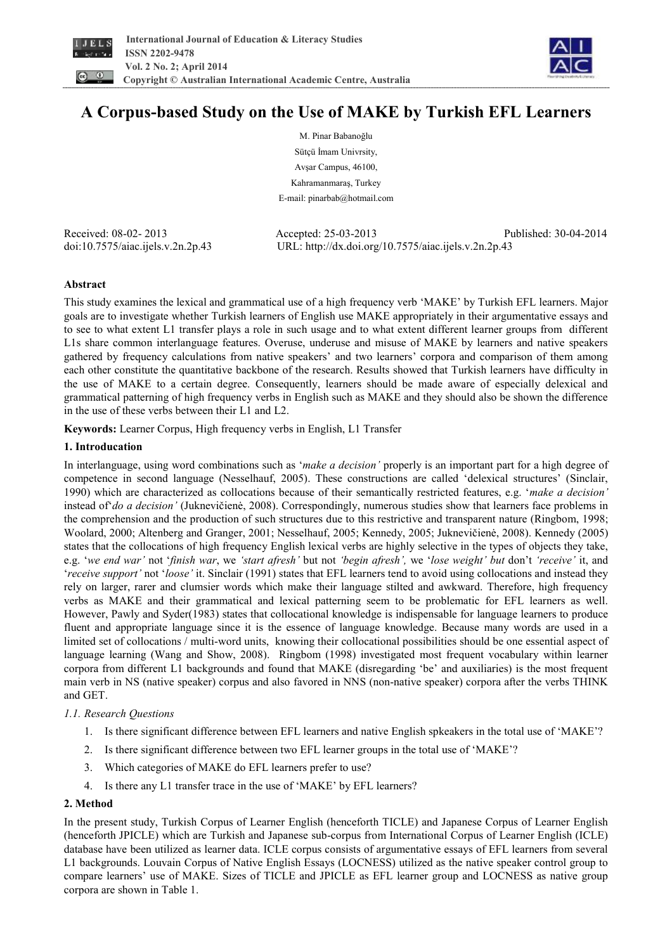



# **A Corpus-based Study on the Use of MAKE by Turkish EFL Learners**

M. Pinar Babanoğlu Sütçü İmam Univrsity, Avşar Campus, 46100, Kahramanmaraş, Turkey E-mail: pinarbab@hotmail.com

Received: 08-02- 2013 Accepted: 25-03-2013 Published: 30-04-2014 doi:10.7575/aiac.ijels.v.2n.2p.43 URL: http://dx.doi.org/10.7575/aiac.ijels.v.2n.2p.43

### **Abstract**

This study examines the lexical and grammatical use of a high frequency verb 'MAKE' by Turkish EFL learners. Major goals are to investigate whether Turkish learners of English use MAKE appropriately in their argumentative essays and to see to what extent L1 transfer plays a role in such usage and to what extent different learner groups from different L1s share common interlanguage features. Overuse, underuse and misuse of MAKE by learners and native speakers gathered by frequency calculations from native speakers' and two learners' corpora and comparison of them among each other constitute the quantitative backbone of the research. Results showed that Turkish learners have difficulty in the use of MAKE to a certain degree. Consequently, learners should be made aware of especially delexical and grammatical patterning of high frequency verbs in English such as MAKE and they should also be shown the difference in the use of these verbs between their L1 and L2.

**Keywords:** Learner Corpus, High frequency verbs in English, L1 Transfer

### **1. Introducation**

In interlanguage, using word combinations such as '*make a decision'* properly is an important part for a high degree of competence in second language (Nesselhauf, 2005). These constructions are called 'delexical structures' (Sinclair, 1990) which are characterized as collocations because of their semantically restricted features, e.g. '*make a decision'* instead of'*do a decision'* (Juknevičienė, 2008). Correspondingly, numerous studies show that learners face problems in the comprehension and the production of such structures due to this restrictive and transparent nature (Ringbom, 1998; Woolard, 2000; Altenberg and Granger, 2001; Nesselhauf, 2005; Kennedy, 2005; Juknevičienė, 2008). Kennedy (2005) states that the collocations of high frequency English lexical verbs are highly selective in the types of objects they take, e.g. '*we end war'* not '*finish war*, we *'start afresh'* but not *'begin afresh',* we '*lose weight' but* don't *'receive'* it, and '*receive support'* not '*loose'* it. Sinclair (1991) states that EFL learners tend to avoid using collocations and instead they rely on larger, rarer and clumsier words which make their language stilted and awkward. Therefore, high frequency verbs as MAKE and their grammatical and lexical patterning seem to be problematic for EFL learners as well. However, Pawly and Syder(1983) states that collocational knowledge is indispensable for language learners to produce fluent and appropriate language since it is the essence of language knowledge. Because many words are used in a limited set of collocations / multi-word units, knowing their collocational possibilities should be one essential aspect of language learning (Wang and Show, 2008). Ringbom (1998) investigated most frequent vocabulary within learner corpora from different L1 backgrounds and found that MAKE (disregarding 'be' and auxiliaries) is the most frequent main verb in NS (native speaker) corpus and also favored in NNS (non-native speaker) corpora after the verbs THINK and GET.

#### *1.1. Research Questions*

- 1. Is there significant difference between EFL learners and native English spkeakers in the total use of 'MAKE'?
- 2. Is there significant difference between two EFL learner groups in the total use of 'MAKE'?
- 3. Which categories of MAKE do EFL learners prefer to use?
- 4. Is there any L1 transfer trace in the use of 'MAKE' by EFL learners?

#### **2. Method**

In the present study, Turkish Corpus of Learner English (henceforth TICLE) and Japanese Corpus of Learner English (henceforth JPICLE) which are Turkish and Japanese sub-corpus from International Corpus of Learner English (ICLE) database have been utilized as learner data. ICLE corpus consists of argumentative essays of EFL learners from several L1 backgrounds. Louvain Corpus of Native English Essays (LOCNESS) utilized as the native speaker control group to compare learners' use of MAKE. Sizes of TICLE and JPICLE as EFL learner group and LOCNESS as native group corpora are shown in Table 1.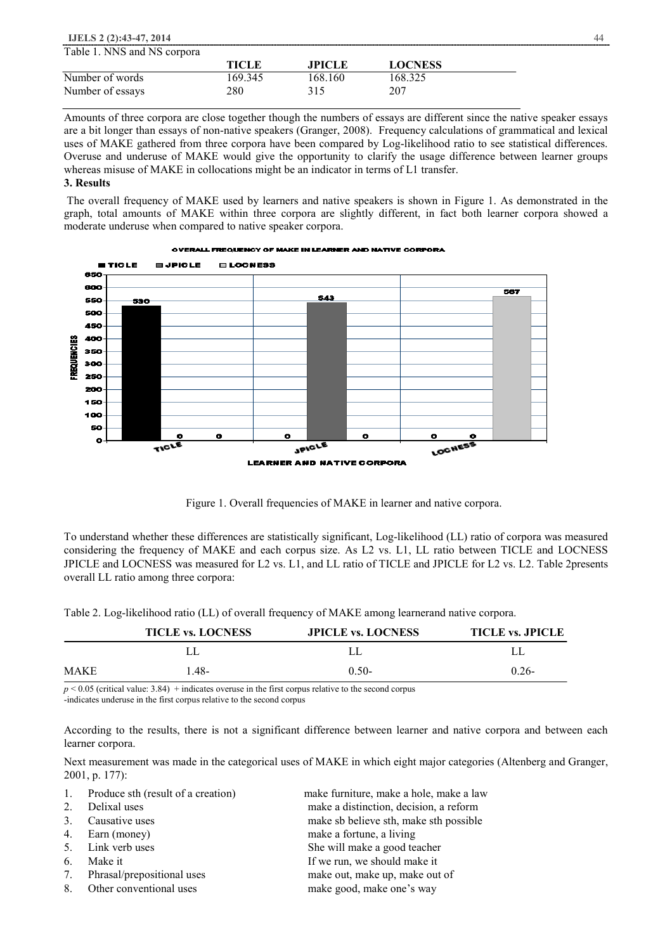| <b>IJELS 2 (2):43-47, 2014</b> |              |               |                | 44 |
|--------------------------------|--------------|---------------|----------------|----|
| Table 1. NNS and NS corpora    |              |               |                |    |
|                                | <b>TICLE</b> | <b>JPICLE</b> | <b>LOCNESS</b> |    |
| Number of words                | 169 345      | 168.160       | 168.325        |    |
| Number of essays               | 280          | 315           | 207            |    |

Amounts of three corpora are close together though the numbers of essays are different since the native speaker essays are a bit longer than essays of non-native speakers (Granger, 2008). Frequency calculations of grammatical and lexical uses of MAKE gathered from three corpora have been compared by Log-likelihood ratio to see statistical differences. Overuse and underuse of MAKE would give the opportunity to clarify the usage difference between learner groups whereas misuse of MAKE in collocations might be an indicator in terms of L1 transfer.

#### **3. Results**

The overall frequency of MAKE used by learners and native speakers is shown in Figure 1. As demonstrated in the graph, total amounts of MAKE within three corpora are slightly different, in fact both learner corpora showed a moderate underuse when compared to native speaker corpora.





To understand whether these differences are statistically significant, Log-likelihood (LL) ratio of corpora was measured considering the frequency of MAKE and each corpus size. As L2 vs. L1, LL ratio between TICLE and LOCNESS JPICLE and LOCNESS was measured for L2 vs. L1, and LL ratio of TICLE and JPICLE for L2 vs. L2. Table 2presents overall LL ratio among three corpora:

Table 2. Log-likelihood ratio (LL) of overall frequency of MAKE among learnerand native corpora.

|      | <b>TICLE vs. LOCNESS</b> | <b>JPICLE vs. LOCNESS</b> | <b>TICLE vs. JPICLE</b> |
|------|--------------------------|---------------------------|-------------------------|
|      |                          |                           |                         |
| MAKE | $-48-$                   | $0.50-$                   | $0.26 -$                |

 $p \le 0.05$  (critical value: 3.84) + indicates overuse in the first corpus relative to the second corpus

-indicates underuse in the first corpus relative to the second corpus

According to the results, there is not a significant difference between learner and native corpora and between each learner corpora.

Next measurement was made in the categorical uses of MAKE in which eight major categories (Altenberg and Granger, 2001, p. 177):

| $\mathbf{1}$ . | Produce sth (result of a creation) | make furniture, make a hole, make a law |
|----------------|------------------------------------|-----------------------------------------|
| 2.             | Delixal uses                       | make a distinction, decision, a reform  |
| 3 <sub>1</sub> | Causative uses                     | make sb believe sth, make sth possible  |
| 4.             | Earn (money)                       | make a fortune, a living                |
|                | 5. Link verb uses                  | She will make a good teacher            |
| 6.             | Make it                            | If we run, we should make it            |
| 7.             | Phrasal/prepositional uses         | make out, make up, make out of          |
| 8.             | Other conventional uses            | make good, make one's way               |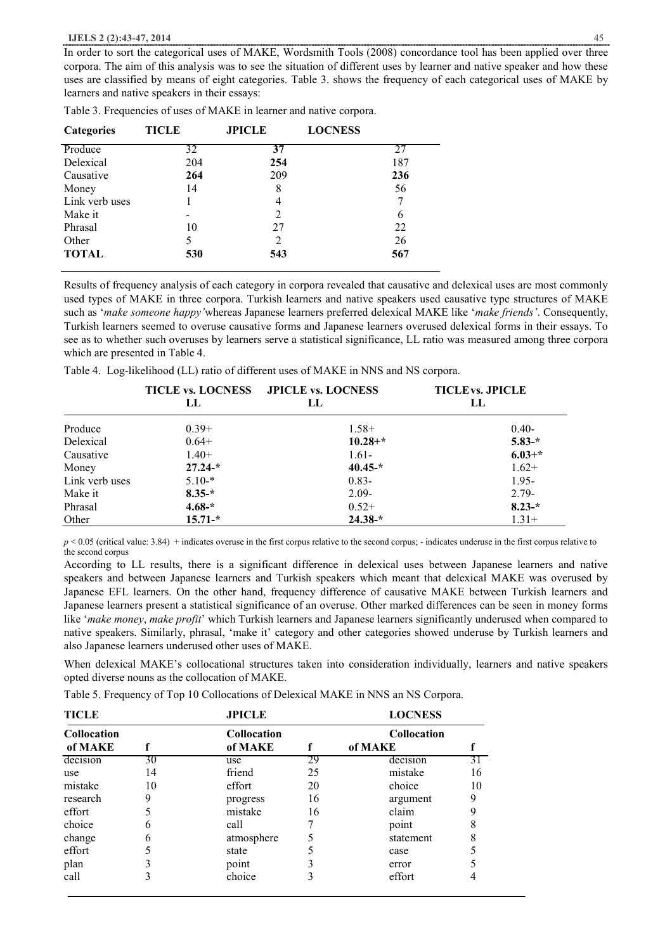In order to sort the categorical uses of MAKE, Wordsmith Tools (2008) concordance tool has been applied over three corpora. The aim of this analysis was to see the situation of different uses by learner and native speaker and how these uses are classified by means of eight categories. Table 3. shows the frequency of each categorical uses of MAKE by learners and native speakers in their essays:

| <b>Categories</b> | <b>TICLE</b> | <b>JPICLE</b> | <b>LOCNESS</b> |     |
|-------------------|--------------|---------------|----------------|-----|
| Produce           | 32           | 37            |                | 27  |
| Delexical         | 204          | 254           |                | 187 |
| Causative         | 264          | 209           |                | 236 |
| Money             | 14           | 8             |                | 56  |
| Link verb uses    |              | 4             |                |     |
| Make it           |              | 2             |                | 6   |
| Phrasal           | 10           | 27            |                | 22  |
| Other             | 5            |               |                | 26  |
| <b>TOTAL</b>      | 530          | 543           |                | 567 |
|                   |              |               |                |     |

Table 3. Frequencies of uses of MAKE in learner and native corpora.

Results of frequency analysis of each category in corpora revealed that causative and delexical uses are most commonly used types of MAKE in three corpora. Turkish learners and native speakers used causative type structures of MAKE such as '*make someone happy'*whereas Japanese learners preferred delexical MAKE like '*make friends'*. Consequently, Turkish learners seemed to overuse causative forms and Japanese learners overused delexical forms in their essays. To see as to whether such overuses by learners serve a statistical significance, LL ratio was measured among three corpora which are presented in Table 4.

Table 4. Log-likelihood (LL) ratio of different uses of MAKE in NNS and NS corpora.

|                |             | TICLE vs. LOCNESS JPICLE vs. LOCNESS | <b>TICLE<sub>vs.</sub></b> JPICLE |  |
|----------------|-------------|--------------------------------------|-----------------------------------|--|
|                | LL          | LL                                   | LL                                |  |
| Produce        | $0.39+$     | $1.58+$                              | $0.40-$                           |  |
| Delexical      | $0.64+$     | $10.28 + *$                          | $5.83-*$                          |  |
| Causative      | $1.40+$     | $1.61 -$                             | $6.03+*$                          |  |
| Money          | $27.24-*$   | $40.45-*$                            | $1.62+$                           |  |
| Link verb uses | $5.10-*$    | $0.83 -$                             | $1.95 -$                          |  |
| Make it        | $8.35-*$    | $2.09 -$                             | $2.79-$                           |  |
| Phrasal        | $4.68 -$ *  | $0.52+$                              | $8.23-*$                          |  |
| Other          | $15.71 -$ * | $24.38 -$ *                          | $1.31+$                           |  |

 $p \le 0.05$  (critical value: 3.84) + indicates overuse in the first corpus relative to the second corpus; - indicates underuse in the first corpus relative to the second corpus

According to LL results, there is a significant difference in delexical uses between Japanese learners and native speakers and between Japanese learners and Turkish speakers which meant that delexical MAKE was overused by Japanese EFL learners. On the other hand, frequency difference of causative MAKE between Turkish learners and Japanese learners present a statistical significance of an overuse. Other marked differences can be seen in money forms like '*make money*, *make profit*' which Turkish learners and Japanese learners significantly underused when compared to native speakers. Similarly, phrasal, 'make it' category and other categories showed underuse by Turkish learners and also Japanese learners underused other uses of MAKE.

When delexical MAKE's collocational structures taken into consideration individually, learners and native speakers opted diverse nouns as the collocation of MAKE.

Table 5. Frequency of Top 10 Collocations of Delexical MAKE in NNS an NS Corpora.

| <b>TICLE</b>                  |    | <b>JPICLE</b>          |    | <b>LOCNESS</b>                |    |
|-------------------------------|----|------------------------|----|-------------------------------|----|
| <b>Collocation</b><br>of MAKE |    | Collocation<br>of MAKE | f  | <b>Collocation</b><br>of MAKE |    |
| decision                      | 30 | use                    | 29 | decision                      | 3Γ |
| use                           | 14 | friend                 | 25 | mistake                       | 16 |
| mistake                       | 10 | effort                 | 20 | choice                        | 10 |
| research                      | 9  | progress               | 16 | argument                      | 9  |
| effort                        |    | mistake                | 16 | claim                         | 9  |
| choice                        | 6  | call                   |    | point                         |    |
| change                        | 6  | atmosphere             |    | statement                     | 8  |
| effort                        |    | state                  |    | case                          |    |
| plan                          |    | point                  |    | error                         |    |
| call                          |    | choice                 |    | effort                        |    |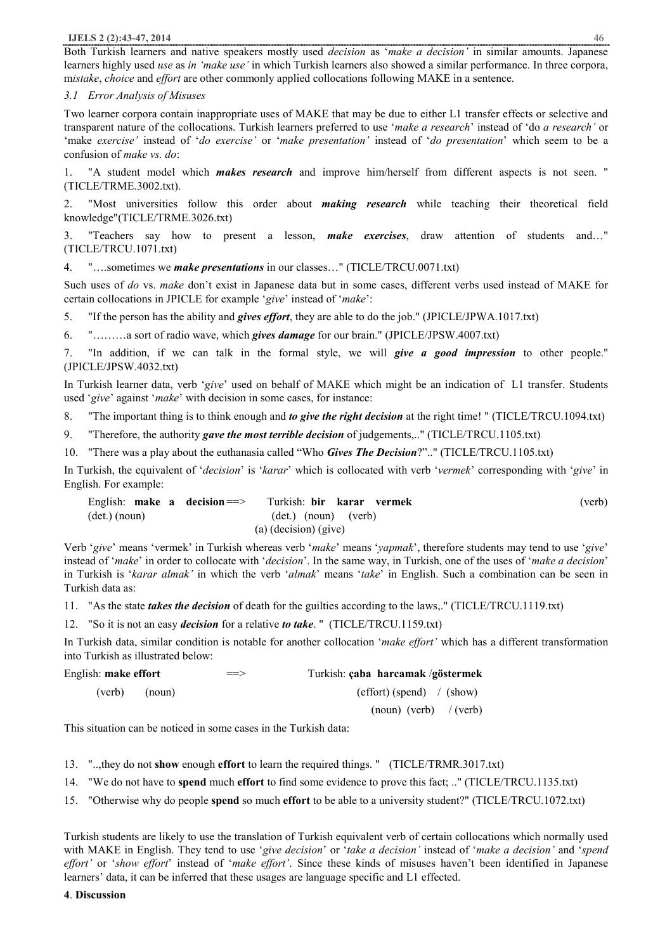#### **IJELS 2 (2):43-47, 2014** 46

Both Turkish learners and native speakers mostly used *decision* as '*make a decision'* in similar amounts. Japanese learners highly used *use* as *in 'make use'* in which Turkish learners also showed a similar performance. In three corpora, m*istake*, *choice* and *effort* are other commonly applied collocations following MAKE in a sentence.

#### *3.1 Error Analysis of Misuses*

Two learner corpora contain inappropriate uses of MAKE that may be due to either L1 transfer effects or selective and transparent nature of the collocations. Turkish learners preferred to use '*make a research*' instead of 'do *a research'* or 'make *exercise'* instead of '*do exercise'* or '*make presentation'* instead of '*do presentation*' which seem to be a confusion of *make vs. do*:

1. "A student model which *makes research* and improve him/herself from different aspects is not seen. " (TICLE/TRME.3002.txt).

2. "Most universities follow this order about *making research* while teaching their theoretical field knowledge"(TICLE/TRME.3026.txt)

3. "Teachers say how to present a lesson, *make exercises*, draw attention of students and…" (TICLE/TRCU.1071.txt)

4. "….sometimes we *make presentations* in our classes…" (TICLE/TRCU.0071.txt)

Such uses of *do* vs. *make* don't exist in Japanese data but in some cases, different verbs used instead of MAKE for certain collocations in JPICLE for example '*give*' instead of '*make*':

5. "If the person has the ability and *gives effort*, they are able to do the job." (JPICLE/JPWA.1017.txt)

6. "………a sort of radio wave, which *gives damage* for our brain." (JPICLE/JPSW.4007.txt)

7. "In addition, if we can talk in the formal style, we will *give a good impression* to other people." (JPICLE/JPSW.4032.txt)

In Turkish learner data, verb '*give*' used on behalf of MAKE which might be an indication of L1 transfer. Students used '*give*' against '*make*' with decision in some cases, for instance:

8. "The important thing is to think enough and *to give the right decision* at the right time! " (TICLE/TRCU.1094.txt)

9. "Therefore, the authority *gave the most terrible decision* of judgements,.." (TICLE/TRCU.1105.txt)

10. "There was a play about the euthanasia called "Who *Gives The Decision*?".." (TICLE/TRCU.1105.txt)

In Turkish, the equivalent of '*decision*' is '*karar*' which is collocated with verb '*vermek*' corresponding with '*give*' in English. For example:

| English: make a decision $==>$ | Turkish: bir karar vermek | (verb) |
|--------------------------------|---------------------------|--------|
| (det.) (noun)                  | $(det.)$ (noun) (verb)    |        |
|                                | (a) (decision) (give)     |        |

Verb '*give*' means 'vermek' in Turkish whereas verb '*make*' means '*yapmak*', therefore students may tend to use '*give*' instead of '*make*' in order to collocate with '*decision*'. In the same way, in Turkish, one of the uses of '*make a decision*' in Turkish is '*karar almak'* in which the verb '*almak*' means '*take*' in English. Such a combination can be seen in Turkish data as:

11. "As the state *takes the decision* of death for the guilties according to the laws,." (TICLE/TRCU.1119.txt)

12. "So it is not an easy *decision* for a relative *to take*. " (TICLE/TRCU.1159.txt)

In Turkish data, similar condition is notable for another collocation '*make effort'* which has a different transformation into Turkish as illustrated below:

| English: make effort | $\Rightarrow$ | Turkish: çaba harcamak/göstermek     |
|----------------------|---------------|--------------------------------------|
| (verb)<br>(noun)     |               | $(\text{effort})$ (spend) / (show)   |
|                      |               | $\frac{1}{2}$ (noun) (verb) / (verb) |

This situation can be noticed in some cases in the Turkish data:

13. "..,they do not **show** enough **effort** to learn the required things. " (TICLE/TRMR.3017.txt)

14. "We do not have to **spend** much **effort** to find some evidence to prove this fact; .." (TICLE/TRCU.1135.txt)

15. "Otherwise why do people **spend** so much **effort** to be able to a university student?" (TICLE/TRCU.1072.txt)

Turkish students are likely to use the translation of Turkish equivalent verb of certain collocations which normally used with MAKE in English. They tend to use '*give decision*' or '*take a decision'* instead of '*make a decision'* and '*spend effort'* or '*show effort*' instead of '*make effort'*. Since these kinds of misuses haven't been identified in Japanese learners' data, it can be inferred that these usages are language specific and L1 effected.

**4**. **Discussion**